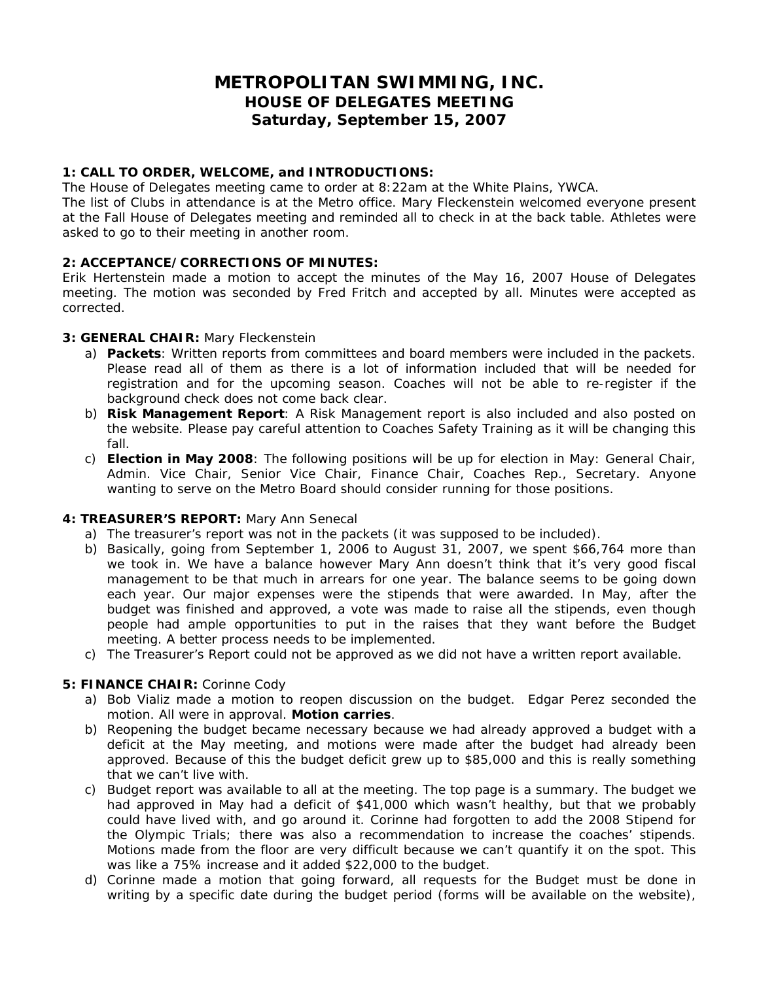# **METROPOLITAN SWIMMING, INC. HOUSE OF DELEGATES MEETING Saturday, September 15, 2007**

#### **1: CALL TO ORDER, WELCOME, and INTRODUCTIONS:**

The House of Delegates meeting came to order at 8:22am at the White Plains, YWCA.

The list of Clubs in attendance is at the Metro office. Mary Fleckenstein welcomed everyone present at the Fall House of Delegates meeting and reminded all to check in at the back table. Athletes were asked to go to their meeting in another room.

## **2: ACCEPTANCE/CORRECTIONS OF MINUTES:**

Erik Hertenstein made a motion to accept the minutes of the May 16, 2007 House of Delegates meeting. The motion was seconded by Fred Fritch and accepted by all. Minutes were accepted as corrected.

## **3: GENERAL CHAIR:** Mary Fleckenstein

- a) **Packets**: Written reports from committees and board members were included in the packets. Please read all of them as there is a lot of information included that will be needed for registration and for the upcoming season. Coaches will not be able to re-register if the background check does not come back clear.
- b) **Risk Management Report**: A Risk Management report is also included and also posted on the website. Please pay careful attention to Coaches Safety Training as it will be changing this fall.
- c) **Election in May 2008**: The following positions will be up for election in May: General Chair, Admin. Vice Chair, Senior Vice Chair, Finance Chair, Coaches Rep., Secretary. Anyone wanting to serve on the Metro Board should consider running for those positions.

## **4: TREASURER'S REPORT:** Mary Ann Senecal

- a) The treasurer's report was not in the packets (it was supposed to be included).
- b) Basically, going from September 1, 2006 to August 31, 2007, we spent \$66,764 more than we took in. We have a balance however Mary Ann doesn't think that it's very good fiscal management to be that much in arrears for one year. The balance seems to be going down each year. Our major expenses were the stipends that were awarded. In May, after the budget was finished and approved, a vote was made to raise all the stipends, even though people had ample opportunities to put in the raises that they want before the Budget meeting. A better process needs to be implemented.
- c) The Treasurer's Report could not be approved as we did not have a written report available.

## **5: FINANCE CHAIR:** Corinne Cody

- a) Bob Vializ made a motion to reopen discussion on the budget. Edgar Perez seconded the motion. All were in approval. **Motion carries**.
- b) Reopening the budget became necessary because we had already approved a budget with a deficit at the May meeting, and motions were made after the budget had already been approved. Because of this the budget deficit grew up to \$85,000 and this is really something that we can't live with.
- c) Budget report was available to all at the meeting. The top page is a summary. The budget we had approved in May had a deficit of \$41,000 which wasn't healthy, but that we probably could have lived with, and go around it. Corinne had forgotten to add the 2008 Stipend for the Olympic Trials; there was also a recommendation to increase the coaches' stipends. Motions made from the floor are very difficult because we can't quantify it on the spot. This was like a 75% increase and it added \$22,000 to the budget.
- d) Corinne made a motion that going forward, all requests for the Budget must be done in writing by a specific date during the budget period (forms will be available on the website),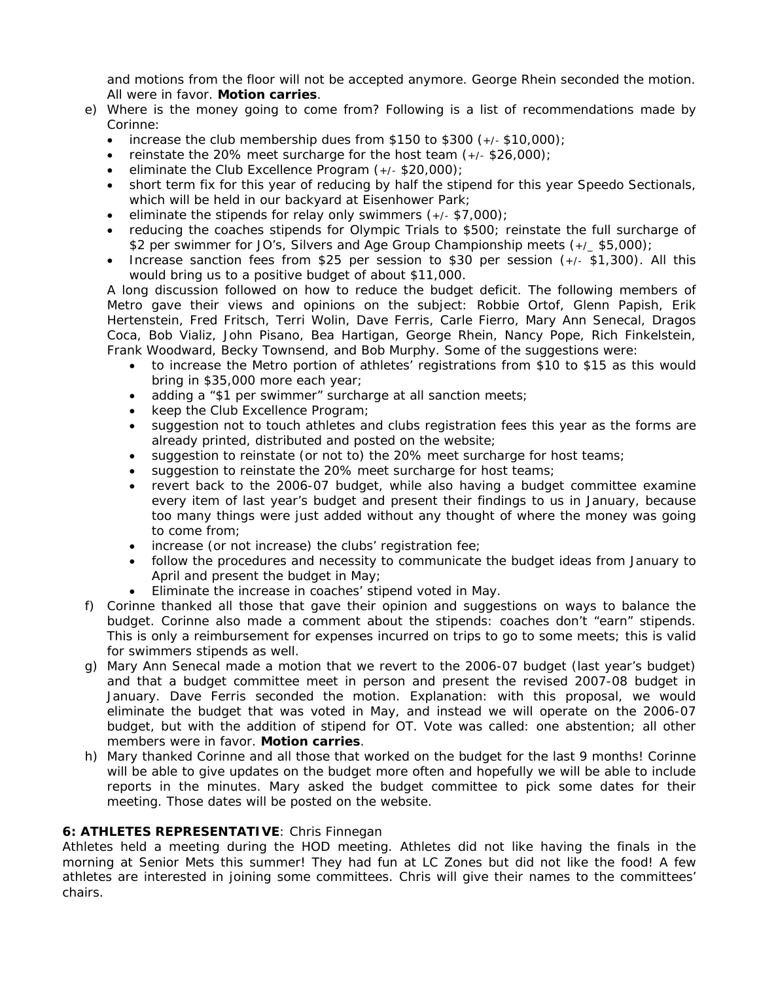and motions from the floor will not be accepted anymore. George Rhein seconded the motion. All were in favor. **Motion carries**.

- e) Where is the money going to come from? Following is a list of recommendations made by Corinne:
	- increase the club membership dues from  $$150$  to  $$300 (+,- $10,000);$
	- reinstate the 20% meet surcharge for the host team  $(+/-$  \$26,000);
	- eliminate the Club Excellence Program (+/- \$20,000);
	- short term fix for this year of reducing by half the stipend for this year Speedo Sectionals, which will be held in our backyard at Eisenhower Park;
	- eliminate the stipends for relay only swimmers  $(+/-$  \$7,000);
	- reducing the coaches stipends for Olympic Trials to \$500; reinstate the full surcharge of \$2 per swimmer for JO's, Silvers and Age Group Championship meets (+/\_ \$5,000);
	- Increase sanction fees from \$25 per session to \$30 per session (+/- \$1,300). All this would bring us to a positive budget of about \$11,000.

A long discussion followed on how to reduce the budget deficit. The following members of Metro gave their views and opinions on the subject: Robbie Ortof, Glenn Papish, Erik Hertenstein, Fred Fritsch, Terri Wolin, Dave Ferris, Carle Fierro, Mary Ann Senecal, Dragos Coca, Bob Vializ, John Pisano, Bea Hartigan, George Rhein, Nancy Pope, Rich Finkelstein, Frank Woodward, Becky Townsend, and Bob Murphy. Some of the suggestions were:

- to increase the Metro portion of athletes' registrations from \$10 to \$15 as this would bring in \$35,000 more each year;
- adding a "\$1 per swimmer" surcharge at all sanction meets;
- keep the Club Excellence Program;
- suggestion not to touch athletes and clubs registration fees this year as the forms are already printed, distributed and posted on the website;
- suggestion to reinstate (or not to) the 20% meet surcharge for host teams;
- suggestion to reinstate the 20% meet surcharge for host teams;
- revert back to the 2006-07 budget, while also having a budget committee examine every item of last year's budget and present their findings to us in January, because too many things were just added without any thought of where the money was going to come from;
- increase (or not increase) the clubs' registration fee;
- follow the procedures and necessity to communicate the budget ideas from January to April and present the budget in May;
- Eliminate the increase in coaches' stipend voted in May.
- f) Corinne thanked all those that gave their opinion and suggestions on ways to balance the budget. Corinne also made a comment about the stipends: coaches don't "earn" stipends. This is only a reimbursement for expenses incurred on trips to go to some meets; this is valid for swimmers stipends as well.
- g) Mary Ann Senecal made a motion that we revert to the 2006-07 budget (last year's budget) and that a budget committee meet in person and present the revised 2007-08 budget in January. Dave Ferris seconded the motion. Explanation: with this proposal, we would eliminate the budget that was voted in May, and instead we will operate on the 2006-07 budget, but with the addition of stipend for OT. Vote was called: one abstention; all other members were in favor. **Motion carries**.
- h) Mary thanked Corinne and all those that worked on the budget for the last 9 months! Corinne will be able to give updates on the budget more often and hopefully we will be able to include reports in the minutes. Mary asked the budget committee to pick some dates for their meeting. Those dates will be posted on the website.

# **6: ATHLETES REPRESENTATIVE**: Chris Finnegan

Athletes held a meeting during the HOD meeting. Athletes did not like having the finals in the morning at Senior Mets this summer! They had fun at LC Zones but did not like the food! A few athletes are interested in joining some committees. Chris will give their names to the committees' chairs.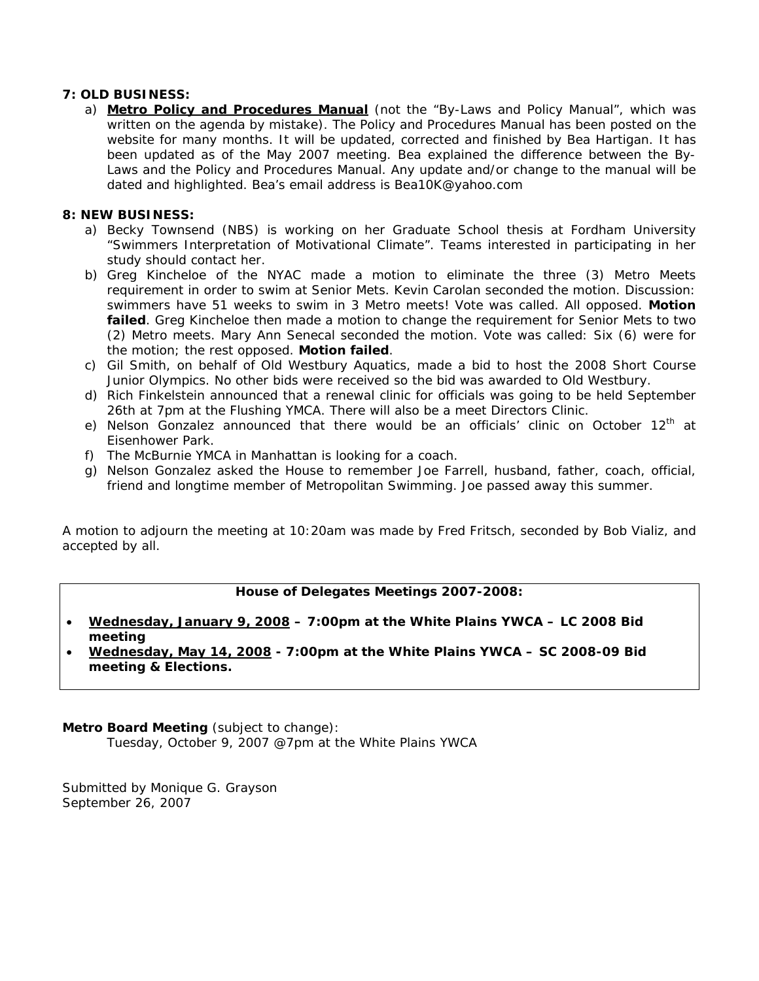## **7: OLD BUSINESS:**

a) **Metro Policy and Procedures Manual** (not the "By-Laws and Policy Manual", which was written on the agenda by mistake). The Policy and Procedures Manual has been posted on the website for many months. It will be updated, corrected and finished by Bea Hartigan. It has been updated as of the May 2007 meeting. Bea explained the difference between the By-Laws and the Policy and Procedures Manual. Any update and/or change to the manual will be dated and highlighted. Bea's email address is Bea10K@yahoo.com

#### **8: NEW BUSINESS:**

- a) Becky Townsend (NBS) is working on her Graduate School thesis at Fordham University "Swimmers Interpretation of Motivational Climate". Teams interested in participating in her study should contact her.
- b) Greg Kincheloe of the NYAC made a motion to eliminate the three (3) Metro Meets requirement in order to swim at Senior Mets. Kevin Carolan seconded the motion. Discussion: swimmers have 51 weeks to swim in 3 Metro meets! Vote was called. All opposed. **Motion failed**. Greg Kincheloe then made a motion to change the requirement for Senior Mets to two (2) Metro meets. Mary Ann Senecal seconded the motion. Vote was called: Six (6) were for the motion; the rest opposed. **Motion failed**.
- c) Gil Smith, on behalf of Old Westbury Aquatics, made a bid to host the 2008 Short Course Junior Olympics. No other bids were received so the bid was awarded to Old Westbury.
- d) Rich Finkelstein announced that a renewal clinic for officials was going to be held September 26th at 7pm at the Flushing YMCA. There will also be a meet Directors Clinic.
- e) Nelson Gonzalez announced that there would be an officials' clinic on October 12<sup>th</sup> at Eisenhower Park.
- f) The McBurnie YMCA in Manhattan is looking for a coach.
- g) Nelson Gonzalez asked the House to remember Joe Farrell, husband, father, coach, official, friend and longtime member of Metropolitan Swimming. Joe passed away this summer.

A motion to adjourn the meeting at 10:20am was made by Fred Fritsch, seconded by Bob Vializ, and accepted by all.

#### **House of Delegates Meetings 2007-2008:**

- **Wednesday, January 9, 2008 7:00pm at the White Plains YWCA LC 2008 Bid meeting**
- **Wednesday, May 14, 2008 7:00pm at the White Plains YWCA SC 2008-09 Bid meeting & Elections.**

**Metro Board Meeting** (subject to change): Tuesday, October 9, 2007 @7pm at the White Plains YWCA

Submitted by Monique G. Grayson September 26, 2007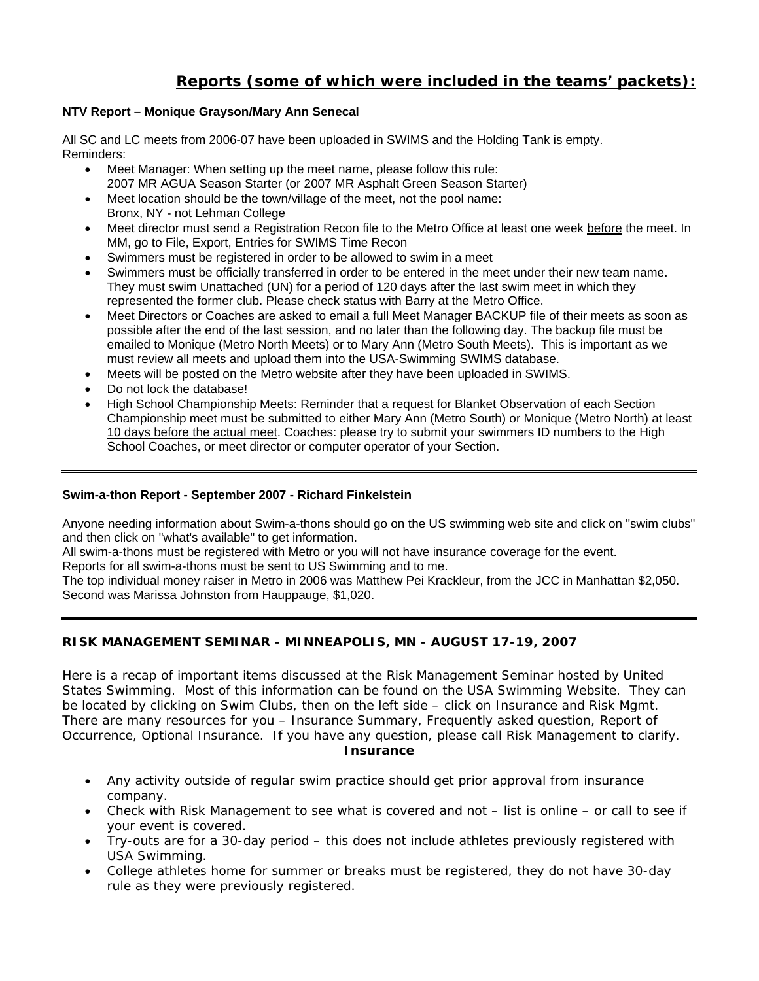# **Reports (some of which were included in the teams' packets):**

## **NTV Report – Monique Grayson/Mary Ann Senecal**

All SC and LC meets from 2006-07 have been uploaded in SWIMS and the Holding Tank is empty. Reminders:

- Meet Manager: When setting up the meet name, please follow this rule: 2007 MR AGUA Season Starter (or 2007 MR Asphalt Green Season Starter)
- Meet location should be the town/village of the meet, not the pool name: Bronx, NY - not Lehman College
- Meet director must send a Registration Recon file to the Metro Office at least one week before the meet. In MM, go to File, Export, Entries for SWIMS Time Recon
- Swimmers must be registered in order to be allowed to swim in a meet
- Swimmers must be officially transferred in order to be entered in the meet under their new team name. They must swim Unattached (UN) for a period of 120 days after the last swim meet in which they represented the former club. Please check status with Barry at the Metro Office.
- Meet Directors or Coaches are asked to email a full Meet Manager BACKUP file of their meets as soon as possible after the end of the last session, and no later than the following day. The backup file must be emailed to Monique (Metro North Meets) or to Mary Ann (Metro South Meets). This is important as we must review all meets and upload them into the USA-Swimming SWIMS database.
- Meets will be posted on the Metro website after they have been uploaded in SWIMS.
- Do not lock the database!
- High School Championship Meets: Reminder that a request for Blanket Observation of each Section Championship meet must be submitted to either Mary Ann (Metro South) or Monique (Metro North) at least 10 days before the actual meet. Coaches: please try to submit your swimmers ID numbers to the High School Coaches, or meet director or computer operator of your Section.

## **Swim-a-thon Report - September 2007 - Richard Finkelstein**

Anyone needing information about Swim-a-thons should go on the US swimming web site and click on "swim clubs" and then click on "what's available" to get information.

All swim-a-thons must be registered with Metro or you will not have insurance coverage for the event.

Reports for all swim-a-thons must be sent to US Swimming and to me.

The top individual money raiser in Metro in 2006 was Matthew Pei Krackleur, from the JCC in Manhattan \$2,050. Second was Marissa Johnston from Hauppauge, \$1,020.

# **RISK MANAGEMENT SEMINAR - MINNEAPOLIS, MN - AUGUST 17-19, 2007**

Here is a recap of important items discussed at the Risk Management Seminar hosted by United States Swimming. Most of this information can be found on the USA Swimming Website. They can be located by clicking on Swim Clubs, then on the left side – click on Insurance and Risk Mgmt. There are many resources for you – Insurance Summary, Frequently asked question, Report of Occurrence, Optional Insurance. If you have any question, please call Risk Management to clarify. *Insurance* 

- Any activity outside of regular swim practice should get prior approval from insurance company.
- Check with Risk Management to see what is covered and not list is online or call to see if your event is covered.
- Try-outs are for a 30-day period this does not include athletes previously registered with USA Swimming.
- College athletes home for summer or breaks must be registered, they do not have 30-day rule as they were previously registered.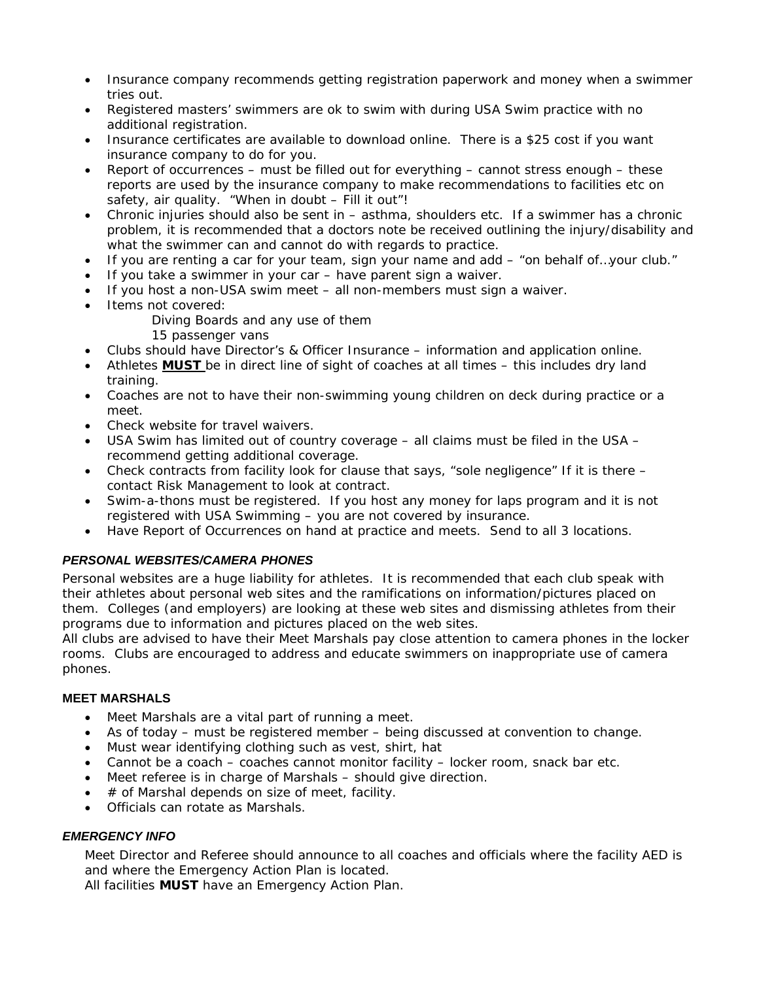- Insurance company recommends getting registration paperwork and money when a swimmer tries out.
- Registered masters' swimmers are ok to swim with during USA Swim practice with no additional registration.
- Insurance certificates are available to download online. There is a \$25 cost if you want insurance company to do for you.
- Report of occurrences must be filled out for everything cannot stress enough these reports are used by the insurance company to make recommendations to facilities etc on safety, air quality. "When in doubt – Fill it out"!
- Chronic injuries should also be sent in asthma, shoulders etc. If a swimmer has a chronic problem, it is recommended that a doctors note be received outlining the injury/disability and what the swimmer can and cannot do with regards to practice.
- If you are renting a car for your team, sign your name and add "on behalf of…your club."
- If you take a swimmer in your car have parent sign a waiver.
- If you host a non-USA swim meet all non-members must sign a waiver.
- Items not covered:
	- Diving Boards and any use of them
	- 15 passenger vans
- Clubs should have Director's & Officer Insurance information and application online.
- Athletes *MUST* be in direct line of sight of coaches at all times this includes dry land training.
- Coaches are not to have their non-swimming young children on deck during practice or a meet.
- Check website for travel waivers.
- USA Swim has limited out of country coverage all claims must be filed in the USA recommend getting additional coverage.
- Check contracts from facility look for clause that says, "sole negligence" If it is there contact Risk Management to look at contract.
- Swim-a-thons must be registered. If you host any money for laps program and it is not registered with USA Swimming – you are not covered by insurance.
- Have Report of Occurrences on hand at practice and meets. Send to all 3 locations.

## *PERSONAL WEBSITES/CAMERA PHONES*

Personal websites are a huge liability for athletes. It is recommended that each club speak with their athletes about personal web sites and the ramifications on information/pictures placed on them. Colleges (and employers) are looking at these web sites and dismissing athletes from their programs due to information and pictures placed on the web sites.

All clubs are advised to have their Meet Marshals pay close attention to camera phones in the locker rooms. Clubs are encouraged to address and educate swimmers on inappropriate use of camera phones.

## **MEET MARSHALS**

- Meet Marshals are a vital part of running a meet.
- As of today must be registered member being discussed at convention to change.
- Must wear identifying clothing such as vest, shirt, hat
- Cannot be a coach coaches cannot monitor facility locker room, snack bar etc.
- Meet referee is in charge of Marshals should give direction.
- $\bullet$  # of Marshal depends on size of meet, facility.
- Officials can rotate as Marshals.

#### *EMERGENCY INFO*

Meet Director and Referee should announce to all coaches and officials where the facility AED is and where the Emergency Action Plan is located.

All facilities **MUST** have an Emergency Action Plan.